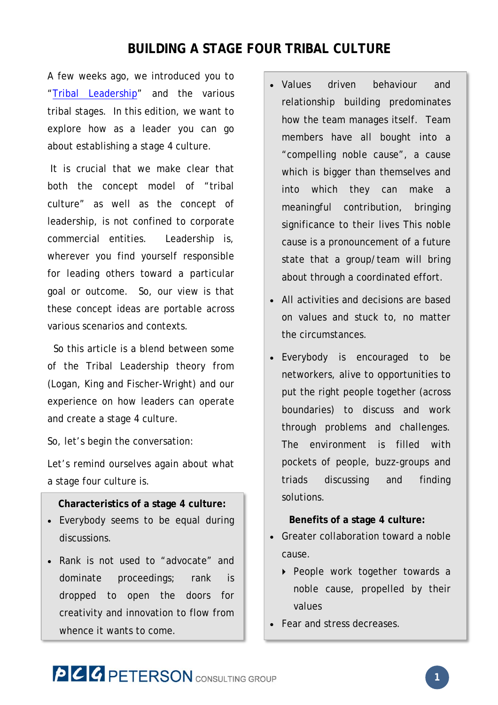## **BUILDING A STAGE FOUR TRIBAL CULTURE**

A few weeks ago, we introduced you to "Tribal Leadership" and the various tribal stages. In this edition, we want to explore how as a leader you can go about establishing a stage 4 culture.

 It is crucial that we make clear that both the concept model of "tribal culture" as well as the concept of leadership, is not confined to corporate commercial entities. Leadership is, wherever you find yourself responsible for leading others toward a particular goal or outcome. So, our view is that these concept ideas are portable across various scenarios and contexts.

 So this article is a blend between some of the Tribal Leadership theory from (Logan, King and Fischer-Wright) and our experience on how leaders can operate and create a stage 4 culture.

So, let's begin the conversation:

Let's remind ourselves again about what a stage four culture is.

### **Characteristics of a stage 4 culture:**

- Everybody seems to be equal during discussions.
- Rank is not used to "advocate" and dominate proceedings; rank is dropped to open the doors for creativity and innovation to flow from whence it wants to come.
- Values driven behaviour and relationship building predominates how the team manages itself. Team members have all bought into a "compelling noble cause", a cause which is bigger than themselves and into which they can make a meaningful contribution, bringing significance to their lives This noble cause is a pronouncement of a future state that a group/team will bring about through a coordinated effort.
- All activities and decisions are based on values and stuck to, no matter the circumstances.
- Everybody is encouraged to be networkers, alive to opportunities to put the right people together (across boundaries) to discuss and work through problems and challenges. The environment is filled with pockets of people, buzz-groups and triads discussing and finding solutions.

### **Benefits of a stage 4 culture:**

- Greater collaboration toward a noble cause.
	- ▶ People work together towards a noble cause, propelled by their values
- Fear and stress decreases.

# **PCC PETERSON** CONSULTING GROUP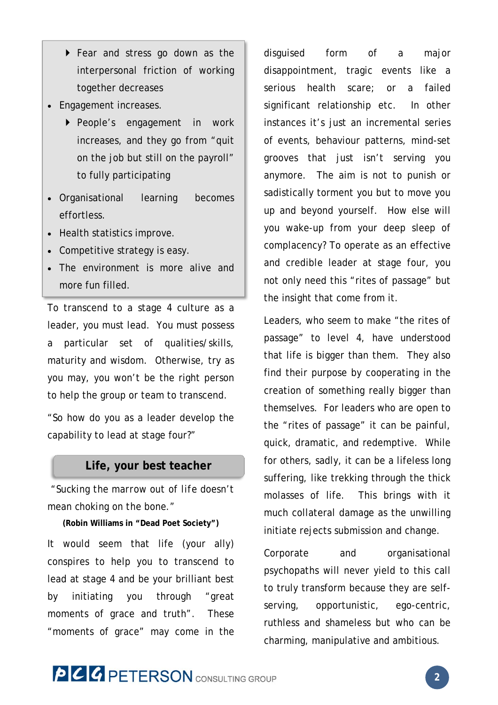- Fear and stress go down as the interpersonal friction of working together decreases
- Engagement increases.
	- People's engagement in work increases, and they go from "quit on the job but still on the payroll" to fully participating
- Organisational learning becomes effortless.
- Health statistics improve.
- Competitive strategy is easy.
- The environment is more alive and more fun filled.

To transcend to a stage 4 culture as a leader, you must lead. You must possess a particular set of qualities/skills, maturity and wisdom. Otherwise, try as you may, you won't be the right person to help the group or team to transcend.

"So how do you as a leader develop the capability to lead at stage four?"

### **Life, your best teacher**

*"Sucking the marrow out of life doesn't mean choking on the bone."* 

**(Robin Williams in "Dead Poet Society")** 

It would seem that life (your ally) conspires to help you to transcend to lead at stage 4 and be your brilliant best by initiating you through "great moments of grace and truth". These "moments of grace" may come in the

disguised form of a major disappointment, tragic events like a serious health scare; or a failed significant relationship etc. In other instances it's just an incremental series of events, behaviour patterns, mind-set grooves that just isn't serving you anymore. The aim is not to punish or sadistically torment you but to move you up and beyond yourself. How else will you wake-up from your deep sleep of complacency? To operate as an effective and credible leader at stage four, you not only need this "rites of passage" but the insight that come from it.

Leaders, who seem to make "the rites of passage" to level 4, have understood that life is bigger than them. They also find their purpose by cooperating in the creation of something really bigger than themselves. For leaders who are open to the "rites of passage" it can be painful, quick, dramatic, and redemptive. While for others, sadly, it can be a lifeless long suffering, like trekking through the thick molasses of life. This brings with it much collateral damage as the unwilling initiate rejects submission and change.

Corporate and organisational psychopaths will never yield to this call to truly transform because they are selfserving, opportunistic, ego-centric, ruthless and shameless but who can be charming, manipulative and ambitious.

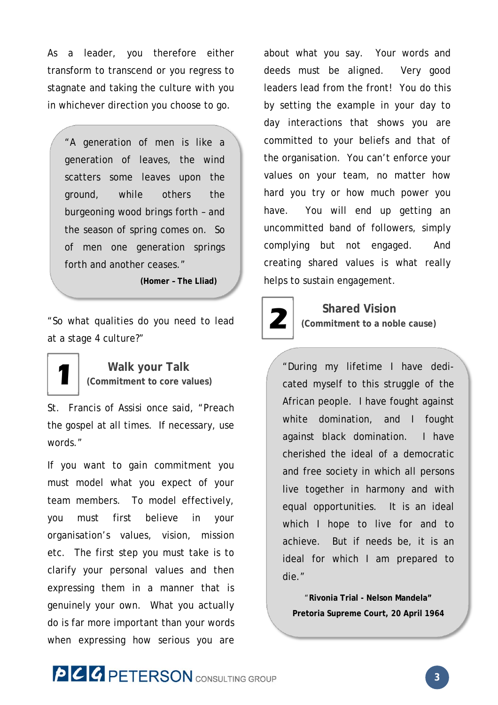As a leader, you therefore either transform to transcend or you regress to stagnate and taking the culture with you in whichever direction you choose to go.

"A generation of men is like a generation of leaves, the wind scatters some leaves upon the ground, while others the burgeoning wood brings forth – and the season of spring comes on. So of men one generation springs forth and another ceases."

**(Homer – The Lliad)**

"So what qualities do you need to lead at a stage 4 culture?"

> **Walk your Talk (Commitment to core values)**

**1**

St. Francis of Assisi once said, "Preach the gospel at all times. If necessary, use words."

If you want to gain commitment you must model what you expect of your team members. To model effectively, you must first believe in your organisation's values, vision, mission etc. The first step you must take is to clarify your personal values and then expressing them in a manner that is genuinely your own. What you actually do is far more important than your words when expressing how serious you are

about what you say. Your words and deeds must be aligned. Very good leaders lead from the front! You do this by setting the example in your day to day interactions that shows you are committed to your beliefs and that of the organisation. You can't enforce your values on your team, no matter how hard you try or how much power you have. You will end up getting an uncommitted band of followers, simply complying but not engaged. And creating shared values is what really helps to sustain engagement.



## **Shared Vision**

**(Commitment to a noble cause)** 

"During my lifetime I have dedicated myself to this struggle of the African people. I have fought against white domination, and I fought against black domination. I have cherished the ideal of a democratic and free society in which all persons live together in harmony and with equal opportunities. It is an ideal which I hope to live for and to achieve. But if needs be, it is an ideal for which I am prepared to die."

"**Rivonia Trial - Nelson Mandela" Pretoria Supreme Court, 20 April 1964**

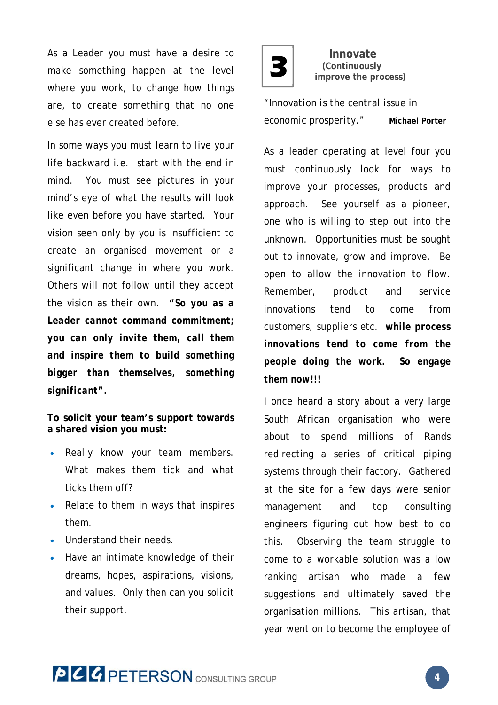As a Leader you must have a desire to  $\begin{array}{|c|} \hline \textbf{3} \end{array}$ make something happen at the level where you work, to change how things are, to create something that no one else has ever created before.

In some ways you must learn to live your life backward i.e. start with the end in mind. You must see pictures in your mind's eye of what the results will look like even before you have started. Your vision seen only by you is insufficient to create an organised movement or a significant change in where you work. Others will not follow until they accept the vision as their own. *"So you as a Leader cannot command commitment; you can only invite them, call them and inspire them to build something bigger than themselves, something significant".* 

**To solicit your team's support towards a shared vision you must:** 

- Really know your team members. What makes them tick and what ticks them off?
- Relate to them in ways that inspires them.
- Understand their needs.
- Have an intimate knowledge of their dreams, hopes, aspirations, visions, and values. Only then can you solicit their support.



 **Innovate (Continuously improve the process)**

*"Innovation is the central issue in economic prosperity."* **Michael Porter** 

As a leader operating at level four you must continuously look for ways to improve your processes, products and approach. See yourself as a pioneer, one who is willing to step out into the unknown. Opportunities must be sought out to innovate, grow and improve. Be open to allow the innovation to flow. Remember, product and service innovations tend to come from customers, suppliers etc. *while process innovations tend to come from the people doing the work. So engage them now!!!* 

I once heard a story about a very large South African organisation who were about to spend millions of Rands redirecting a series of critical piping systems through their factory. Gathered at the site for a few days were senior management and top consulting engineers figuring out how best to do this. Observing the team struggle to come to a workable solution was a low ranking artisan who made a few suggestions and ultimately saved the organisation millions. This artisan, that year went on to become the employee of

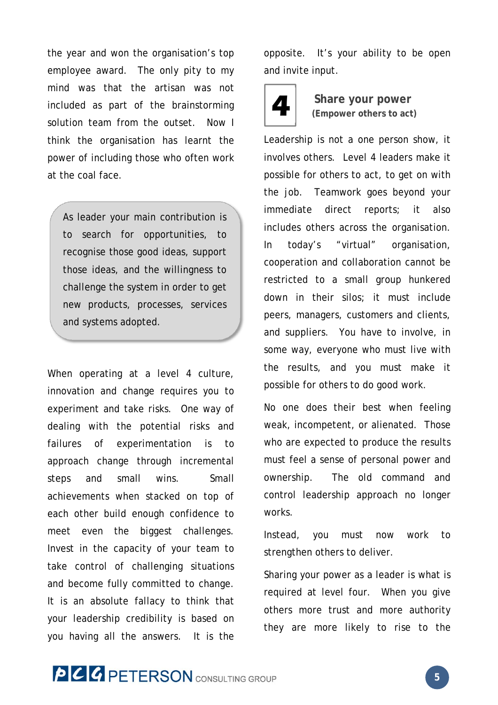the year and won the organisation's top employee award. The only pity to my mind was that the artisan was not included as part of the brainstorming solution team from the outset. Now I think the organisation has learnt the power of including those who often work at the coal face.

As leader your main contribution is to search for opportunities, to recognise those good ideas, support those ideas, and the willingness to challenge the system in order to get new products, processes, services and systems adopted.

When operating at a level 4 culture, innovation and change requires you to experiment and take risks. One way of dealing with the potential risks and failures of experimentation is to approach change through incremental steps and small wins. Small achievements when stacked on top of each other build enough confidence to meet even the biggest challenges. Invest in the capacity of your team to take control of challenging situations and become fully committed to change. It is an absolute fallacy to think that your leadership credibility is based on you having all the answers. It is the opposite. It's your ability to be open and invite input.



 **Share your power (Empower others to act)** 

Leadership is not a one person show, it involves others. Level 4 leaders make it possible for others to act, to get on with the job. Teamwork goes beyond your immediate direct reports; it also includes others across the organisation. In today's "virtual" organisation, cooperation and collaboration cannot be restricted to a small group hunkered down in their silos; it must include peers, managers, customers and clients, and suppliers. You have to involve, in some way, everyone who must live with the results, and you must make it possible for others to do good work.

No one does their best when feeling weak, incompetent, or alienated. Those who are expected to produce the results must feel a sense of personal power and ownership. The old command and control leadership approach no longer works.

Instead, you must now work to strengthen others to deliver.

Sharing your power as a leader is what is required at level four. When you give others more trust and more authority they are more likely to rise to the